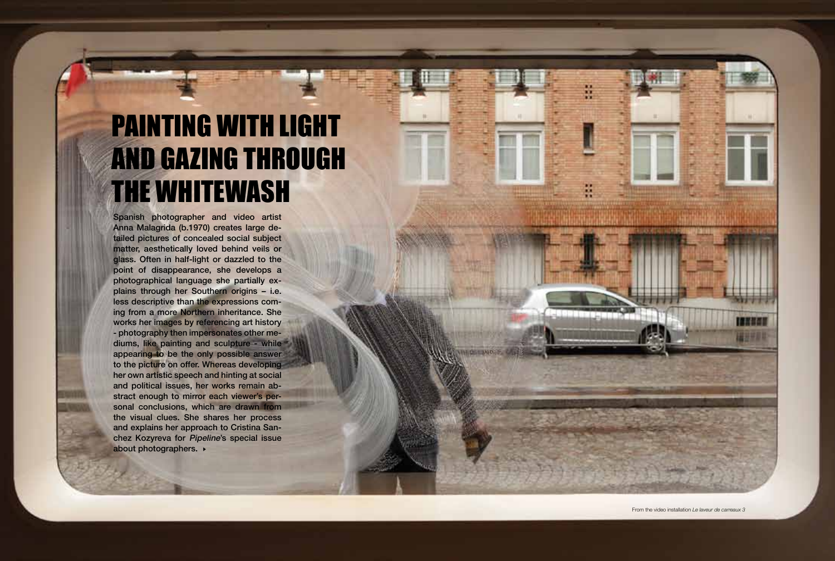## Painting with Light and gazing through the whitewash

interview

Spanish photographer and video artist Anna Malagrida (b.1970) creates large de tailed pictures of concealed social subject matter, aesthetically loved behind veils or glass. Often in half-light or dazzled to the point of disappearance, she develops a photographical language she partially ex plains through her Southern origins – i.e. less descriptive than the expressions coming from a more Northern inheritance. She works her images by referencing art history - photography then impersonates other me diums, like painting and sculpture - while appearing to be the only possible answer to the picture on offer. Whereas developing her own artistic speech and hinting at social and political issues, her works remain ab stract enough to mirror each viewer's personal conclusions, which are drawn from the visual clues. She shares her process and explains her approach to Cristina San chez Kozyreva for Pipeline's special issue about photographers.  $\rightarrow$ 

interview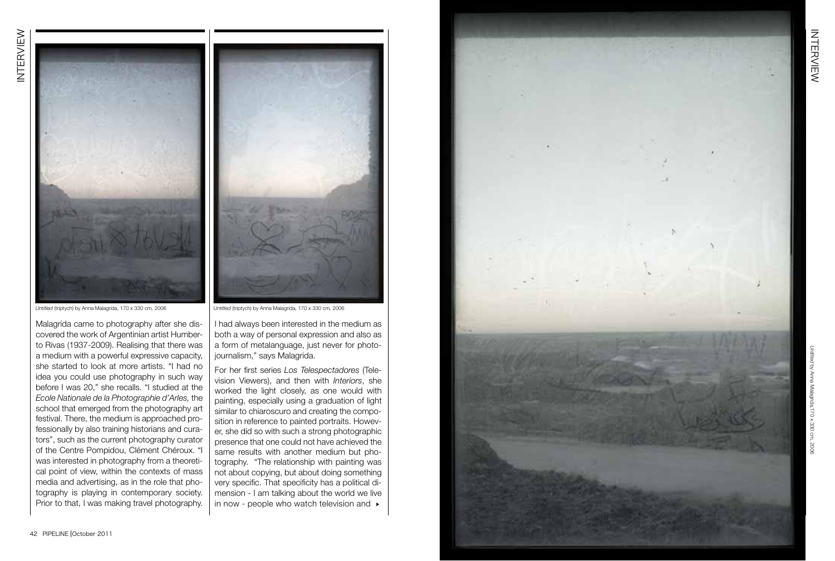

Malagrida came to photography after she discovered the work of Argentinian artist Humberto Rivas (1937-2009). Realising that there was a medium with a powerful expressive capacity, she started to look at more artists. "I had no idea you could use photography in such way before I was 20," she recalls. "I studied at the *Ecole Nationale de la Photographie d'Arles,* the school that emerged from the photography art festival. There, the medium is approached professionally by also training historians and curators", such as the current photography curator of the Centre Pompidou, Clément Chéroux. "I was interested in photography from a theoretical point of view, within the contexts of mass media and advertising, as in the role that photography is playing in contemporary society. Prior to that, I was making travel photography.

*Untitled* (triptych) by Anna Malagrida, 170 x 330 cm*,* 2006 *Untitled* (triptych) by Anna Malagrida, 170 x 330 cm*,* 2006

I had always been interested in the medium as both a way of personal expression and also as a form of metalanguage, just never for photojournalism," says Malagrida.

For her first series *Los Telespectadores* (Television Viewers), and then with *Interiors*, she worked the light closely, as one would with painting, especially using a graduation of light similar to chiaroscuro and creating the composition in reference to painted portraits. However, she did so with such a strong photographic presence that one could not have achieved the same results with another medium but photography. "The relationship with painting was not about copying, but about doing something very specific. That specificity has a political dimension - I am talking about the world we live in now - people who watch television and  $\rightarrow$ 



interview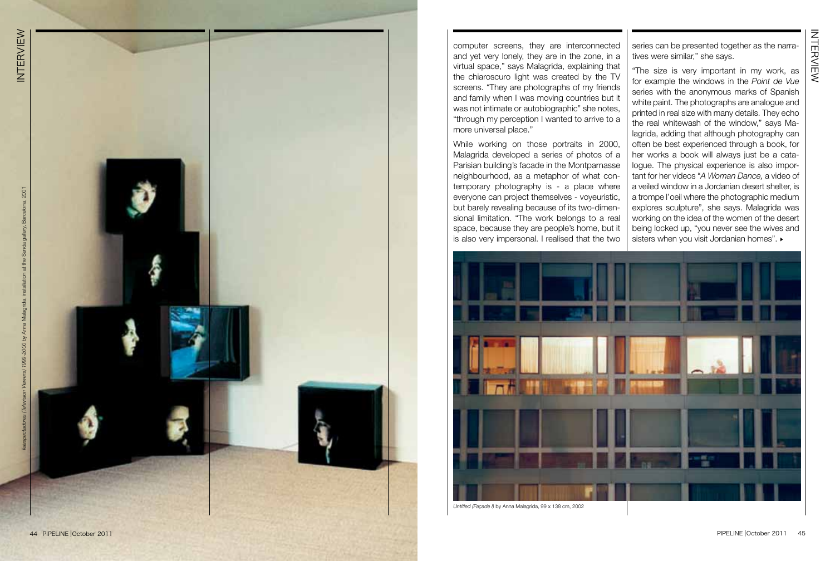$2001$ *Telespectadores (Television Viewers) 1999-2000* by Anna Malagrida, installation at the Senda gallery, Barcelona, 2001



computer screens, they are interconnected and yet very lonely, they are in the zone, in a virtual space," says Malagrida, explaining that the chiaroscuro light was created by the TV screens. "They are photographs of my friends and family when I was moving countries but it was not intimate or autobiographic" she notes, "through my perception I wanted to arrive to a more universal place."

While working on those portraits in 2000, Malagrida developed a series of photos of a Parisian building's facade in the Montparnasse neighbourhood, as a metaphor of what con temporary photography is - a place where everyone can project themselves - voyeuristic, but barely revealing because of its two-dimen sional limitation. "The work belongs to a real space, because they are people's home, but it is also very impersonal. I realised that the two

series can be presented together as the narra tives were similar," she says.

"The size is very important in my work, as for example the windows in the *Point de Vue*  series with the anonymous marks of Spanish white paint. The photographs are analogue and printed in real size with many details. They echo the real whitewash of the window," says Ma lagrida, adding that although photography can often be best experienced through a book, for her works a book will always just be a cata logue. The physical experience is also impor tant for her videos "*A Woman Dance,* a video of a veiled window in a Jordanian desert shelter, is a trompe l'oeil where the photographic medium explores sculpture", she says. Malagrida was working on the idea of the women of the desert being locked up, "you never see the wives and sisters when you visit Jordanian homes".  $\blacktriangleright$ 



*Untitled (Façade I)* by Anna Malagrida, 99 x 138 cm, 2002